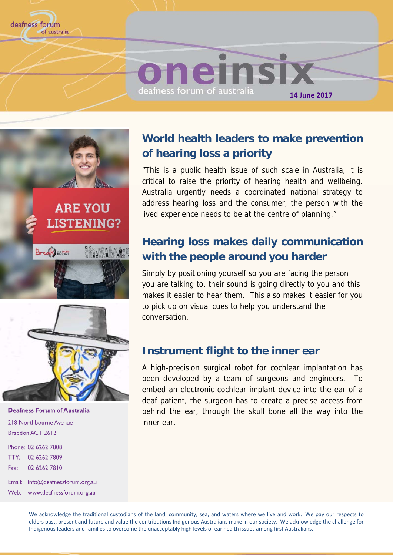





**Deafness Forum of Australia** 218 Northbourne Avenue Braddon ACT 2612

Phone: 02 6262 7808 TTY: 02 6262 7809 02 6262 7810 Fax:

Email: info@deafnessforum.org.au Web: www.deafnessforum.org.au

## **World health leaders to make prevention of hearing loss a priority**

"This is a public health issue of such scale in Australia, it is critical to raise the priority of hearing health and wellbeing. Australia urgently needs a coordinated national strategy to address hearing loss and the consumer, the person with the lived experience needs to be at the centre of planning."

## **Hearing loss makes daily communication with the people around you harder**

Simply by positioning yourself so you are facing the person you are talking to, their sound is going directly to you and this makes it easier to hear them. This also makes it easier for you to pick up on visual cues to help you understand the conversation.

### **Instrument flight to the inner ear**

A high-precision surgical robot for cochlear implantation has been developed by a team of surgeons and engineers. To embed an electronic cochlear implant device into the ear of a deaf patient, the surgeon has to create a precise access from behind the ear, through the skull bone all the way into the inner ear.

We acknowledge the traditional custodians of the land, community, sea, and waters where we live and work. We pay our respects to elders past, present and future and value the contributions Indigenous Australians make in our society. We acknowledge the challenge for Indigenous leaders and families to overcome the unacceptably high levels of ear health issues among first Australians.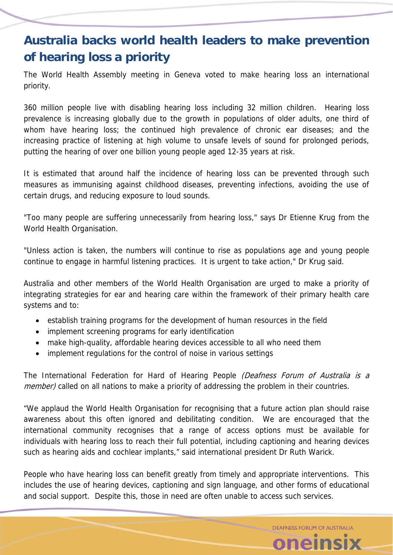# **Australia backs world health leaders to make prevention of hearing loss a priority**

The World Health Assembly meeting in Geneva voted to make hearing loss an international priority.

360 million people live with disabling hearing loss including 32 million children. Hearing loss prevalence is increasing globally due to the growth in populations of older adults, one third of whom have hearing loss; the continued high prevalence of chronic ear diseases; and the increasing practice of listening at high volume to unsafe levels of sound for prolonged periods, putting the hearing of over one billion young people aged 12-35 years at risk.

It is estimated that around half the incidence of hearing loss can be prevented through such measures as immunising against childhood diseases, preventing infections, avoiding the use of certain drugs, and reducing exposure to loud sounds.

"Too many people are suffering unnecessarily from hearing loss," says Dr Etienne Krug from the World Health Organisation.

"Unless action is taken, the numbers will continue to rise as populations age and young people continue to engage in harmful listening practices. It is urgent to take action," Dr Krug said.

Australia and other members of the World Health Organisation are urged to make a priority of integrating strategies for ear and hearing care within the framework of their primary health care systems and to:

- establish training programs for the development of human resources in the field
- implement screening programs for early identification
- make high-quality, affordable hearing devices accessible to all who need them
- implement regulations for the control of noise in various settings

The International Federation for Hard of Hearing People (Deafness Forum of Australia is a member) called on all nations to make a priority of addressing the problem in their countries.

"We applaud the World Health Organisation for recognising that a future action plan should raise awareness about this often ignored and debilitating condition. We are encouraged that the international community recognises that a range of access options must be available for individuals with hearing loss to reach their full potential, including captioning and hearing devices such as hearing aids and cochlear implants," said international president Dr Ruth Warick.

People who have hearing loss can benefit greatly from timely and appropriate interventions. This includes the use of hearing devices, captioning and sign language, and other forms of educational and social support. Despite this, those in need are often unable to access such services.

> DEAFNESS FORUM OF AUSTRALIA oneinsix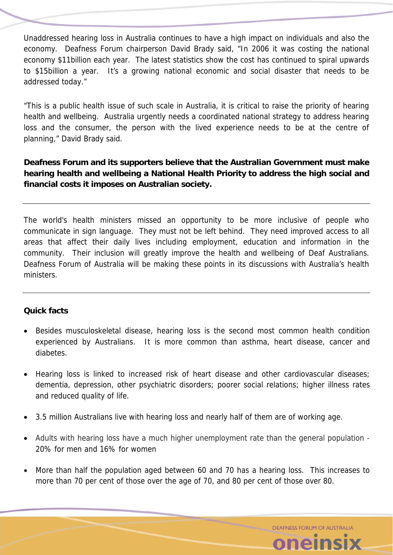Unaddressed hearing loss in Australia continues to have a high impact on individuals and also the economy. Deafness Forum chairperson David Brady said, "In 2006 it was costing the national economy \$11billion each year. The latest statistics show the cost has continued to spiral upwards to \$15billion a year. It's a growing national economic and social disaster that needs to be addressed today."

"This is a public health issue of such scale in Australia, it is critical to raise the priority of hearing health and wellbeing. Australia urgently needs a coordinated national strategy to address hearing loss and the consumer, the person with the lived experience needs to be at the centre of planning," David Brady said.

### **Deafness Forum and its supporters believe that the Australian Government must make hearing health and wellbeing a National Health Priority to address the high social and financial costs it imposes on Australian society.**

The world's health ministers missed an opportunity to be more inclusive of people who communicate in sign language. They must not be left behind. They need improved access to all areas that affect their daily lives including employment, education and information in the community. Their inclusion will greatly improve the health and wellbeing of Deaf Australians. Deafness Forum of Australia will be making these points in its discussions with Australia's health ministers.

### **Quick facts**

- Besides musculoskeletal disease, hearing loss is the second most common health condition experienced by Australians. It is more common than asthma, heart disease, cancer and diabetes.
- Hearing loss is linked to increased risk of heart disease and other cardiovascular diseases; dementia, depression, other psychiatric disorders; poorer social relations; higher illness rates and reduced quality of life.
- 3.5 million Australians live with hearing loss and nearly half of them are of working age.
- Adults with hearing loss have a much higher unemployment rate than the general population 20% for men and 16% for women
- More than half the population aged between 60 and 70 has a hearing loss. This increases to more than 70 per cent of those over the age of 70, and 80 per cent of those over 80.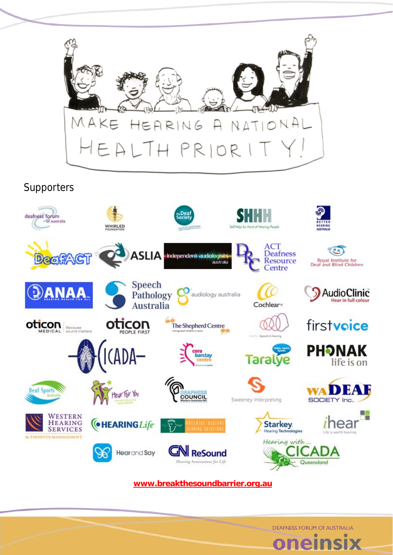

Supporters



**www.breakthesoundbarrier.org.au**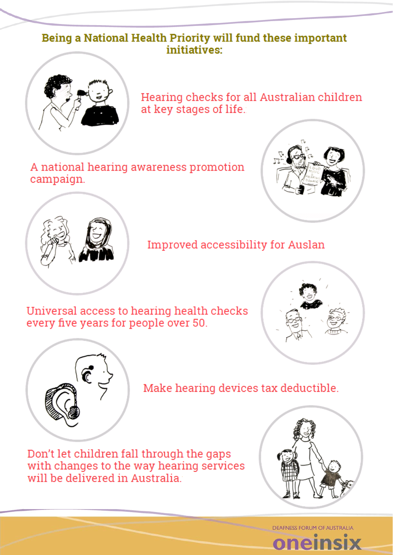### Being a National Health Priority will fund these important initiatives:



Hearing checks for all Australian children at key stages of life.

A national hearing awareness promotion campaign.





Improved accessibility for Auslan

Universal access to hearing health checks every five years for people over 50.





Make hearing devices tax deductible.

Don't let children fall through the gaps with changes to the way hearing services will be delivered in Australia



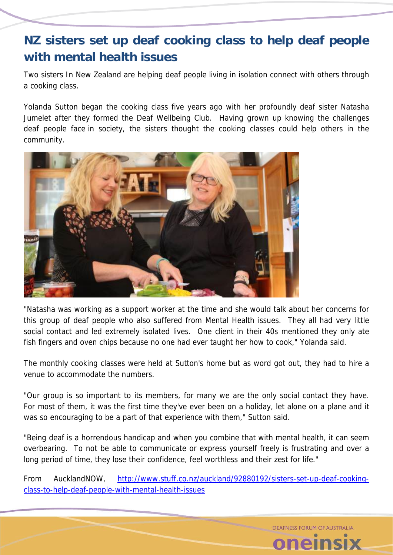# **NZ sisters set up deaf cooking class to help deaf people with mental health issues**

Two sisters In New Zealand are helping deaf people living in isolation connect with others through a cooking class.

Yolanda Sutton began the cooking class five years ago with her profoundly deaf sister Natasha Jumelet after they formed the Deaf Wellbeing Club. Having grown up knowing the challenges deaf people face in society, the sisters thought the cooking classes could help others in the community.



"Natasha was working as a support worker at the time and she would talk about her concerns for this group of deaf people who also suffered from Mental Health issues. They all had very little social contact and led extremely isolated lives. One client in their 40s mentioned they only ate fish fingers and oven chips because no one had ever taught her how to cook," Yolanda said.

The monthly cooking classes were held at Sutton's home but as word got out, they had to hire a venue to accommodate the numbers.

"Our group is so important to its members, for many we are the only social contact they have. For most of them, it was the first time they've ever been on a holiday, let alone on a plane and it was so encouraging to be a part of that experience with them," Sutton said.

"Being deaf is a horrendous handicap and when you combine that with mental health, it can seem overbearing. To not be able to communicate or express yourself freely is frustrating and over a long period of time, they lose their confidence, feel worthless and their zest for life."

From AucklandNOW, http://www.stuff.co.nz/auckland/92880192/sisters-set-up-deaf-cookingclass-to-help-deaf-people-with-mental-health-issues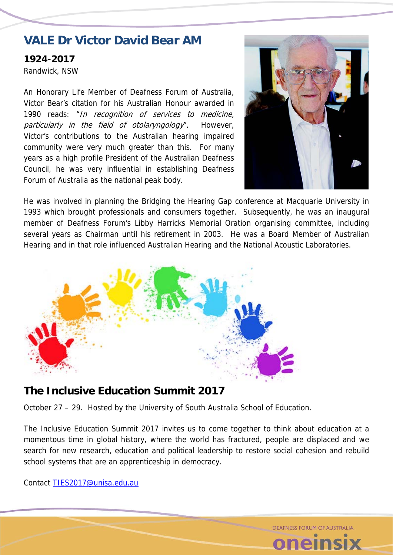# **VALE Dr Victor David Bear AM**

**1924-2017**  Randwick, NSW

An Honorary Life Member of Deafness Forum of Australia, Victor Bear's citation for his Australian Honour awarded in 1990 reads: "In recognition of services to medicine, particularly in the field of otolaryngology". However, Victor's contributions to the Australian hearing impaired community were very much greater than this. For many years as a high profile President of the Australian Deafness Council, he was very influential in establishing Deafness Forum of Australia as the national peak body.



**DEAFNESS FORUM OF AUSTRALIA** 

He was involved in planning the Bridging the Hearing Gap conference at Macquarie University in 1993 which brought professionals and consumers together. Subsequently, he was an inaugural member of Deafness Forum's Libby Harricks Memorial Oration organising committee, including several years as Chairman until his retirement in 2003. He was a Board Member of Australian Hearing and in that role influenced Australian Hearing and the National Acoustic Laboratories.



### **The Inclusive Education Summit 2017**

October 27 – 29. Hosted by the University of South Australia School of Education.

The Inclusive Education Summit 2017 invites us to come together to think about education at a momentous time in global history, where the world has fractured, people are displaced and we search for new research, education and political leadership to restore social cohesion and rebuild school systems that are an apprenticeship in democracy.

Contact TIES2017@unisa.edu.au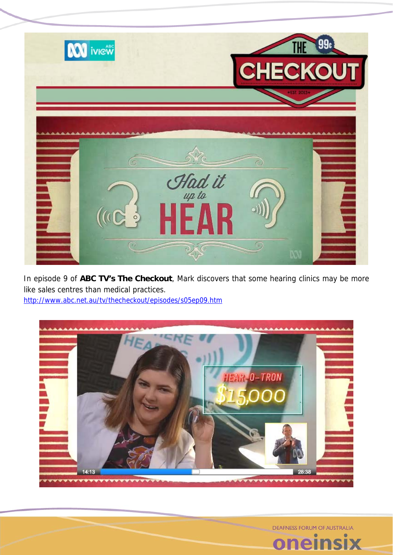

In episode 9 of **ABC TV's The Checkout**, Mark discovers that some hearing clinics may be more like sales centres than medical practices. http://www.abc.net.au/tv/thecheckout/episodes/s05ep09.htm



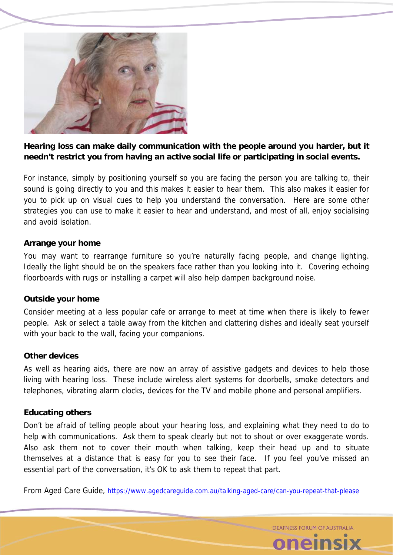

### **Hearing loss can make daily communication with the people around you harder, but it needn't restrict you from having an active social life or participating in social events.**

For instance, simply by positioning yourself so you are facing the person you are talking to, their sound is going directly to you and this makes it easier to hear them. This also makes it easier for you to pick up on visual cues to help you understand the conversation. Here are some other strategies you can use to make it easier to hear and understand, and most of all, enjoy socialising and avoid isolation.

#### **Arrange your home**

You may want to rearrange furniture so you're naturally facing people, and change lighting. Ideally the light should be on the speakers face rather than you looking into it. Covering echoing floorboards with rugs or installing a carpet will also help dampen background noise.

#### **Outside your home**

Consider meeting at a less popular cafe or arrange to meet at time when there is likely to fewer people. Ask or select a table away from the kitchen and clattering dishes and ideally seat yourself with your back to the wall, facing your companions.

#### **Other devices**

As well as hearing aids, there are now an array of assistive gadgets and devices to help those living with hearing loss. These include wireless alert systems for doorbells, smoke detectors and telephones, vibrating alarm clocks, devices for the TV and mobile phone and personal amplifiers.

### **Educating others**

Don't be afraid of telling people about your hearing loss, and explaining what they need to do to help with communications. Ask them to speak clearly but not to shout or over exaggerate words. Also ask them not to cover their mouth when talking, keep their head up and to situate themselves at a distance that is easy for you to see their face. If you feel you've missed an essential part of the conversation, it's OK to ask them to repeat that part.

From Aged Care Guide, https://www.agedcareguide.com.au/talking-aged-care/can-you-repeat-that-please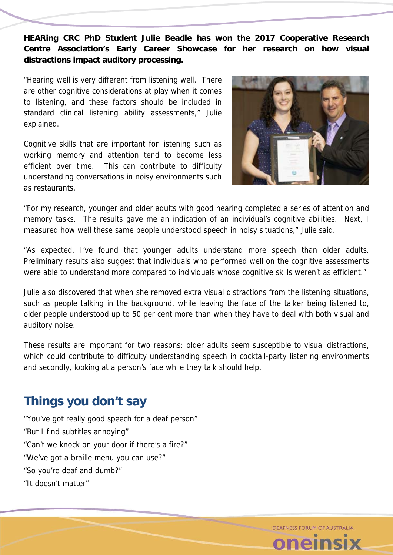**HEARing CRC PhD Student Julie Beadle has won the 2017 Cooperative Research Centre Association's Early Career Showcase for her research on how visual distractions impact auditory processing.** 

"Hearing well is very different from listening well. There are other cognitive considerations at play when it comes to listening, and these factors should be included in standard clinical listening ability assessments," Julie explained.

Cognitive skills that are important for listening such as working memory and attention tend to become less efficient over time. This can contribute to difficulty understanding conversations in noisy environments such as restaurants.



"For my research, younger and older adults with good hearing completed a series of attention and memory tasks. The results gave me an indication of an individual's cognitive abilities. Next, I measured how well these same people understood speech in noisy situations," Julie said.

"As expected, I've found that younger adults understand more speech than older adults. Preliminary results also suggest that individuals who performed well on the cognitive assessments were able to understand more compared to individuals whose cognitive skills weren't as efficient."

Julie also discovered that when she removed extra visual distractions from the listening situations, such as people talking in the background, while leaving the face of the talker being listened to, older people understood up to 50 per cent more than when they have to deal with both visual and auditory noise.

These results are important for two reasons: older adults seem susceptible to visual distractions, which could contribute to difficulty understanding speech in cocktail-party listening environments and secondly, looking at a person's face while they talk should help.

# **Things you don't say**

"You've got really good speech for a deaf person" "But I find subtitles annoying" "Can't we knock on your door if there's a fire?" "We've got a braille menu you can use?" "So you're deaf and dumb?" "It doesn't matter"

DEAFNESS FORUM OF AUSTRALIA

**Pelr**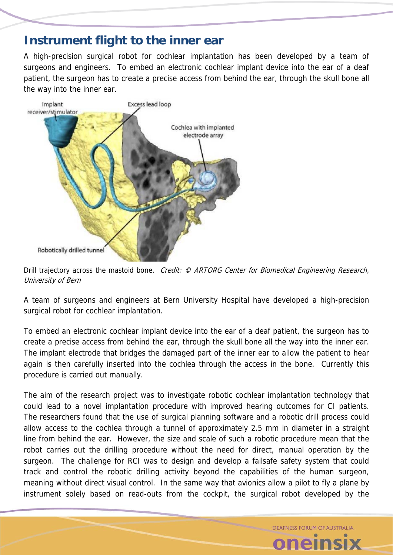## **Instrument flight to the inner ear**

A high-precision surgical robot for cochlear implantation has been developed by a team of surgeons and engineers. To embed an electronic cochlear implant device into the ear of a deaf patient, the surgeon has to create a precise access from behind the ear, through the skull bone all the way into the inner ear.



Drill trajectory across the mastoid bone. Credit: © ARTORG Center for Biomedical Engineering Research, University of Bern

A team of surgeons and engineers at Bern University Hospital have developed a high-precision surgical robot for cochlear implantation.

To embed an electronic cochlear implant device into the ear of a deaf patient, the surgeon has to create a precise access from behind the ear, through the skull bone all the way into the inner ear. The implant electrode that bridges the damaged part of the inner ear to allow the patient to hear again is then carefully inserted into the cochlea through the access in the bone. Currently this procedure is carried out manually.

The aim of the research project was to investigate robotic cochlear implantation technology that could lead to a novel implantation procedure with improved hearing outcomes for CI patients. The researchers found that the use of surgical planning software and a robotic drill process could allow access to the cochlea through a tunnel of approximately 2.5 mm in diameter in a straight line from behind the ear. However, the size and scale of such a robotic procedure mean that the robot carries out the drilling procedure without the need for direct, manual operation by the surgeon. The challenge for RCI was to design and develop a failsafe safety system that could track and control the robotic drilling activity beyond the capabilities of the human surgeon, meaning without direct visual control. In the same way that avionics allow a pilot to fly a plane by instrument solely based on read-outs from the cockpit, the surgical robot developed by the